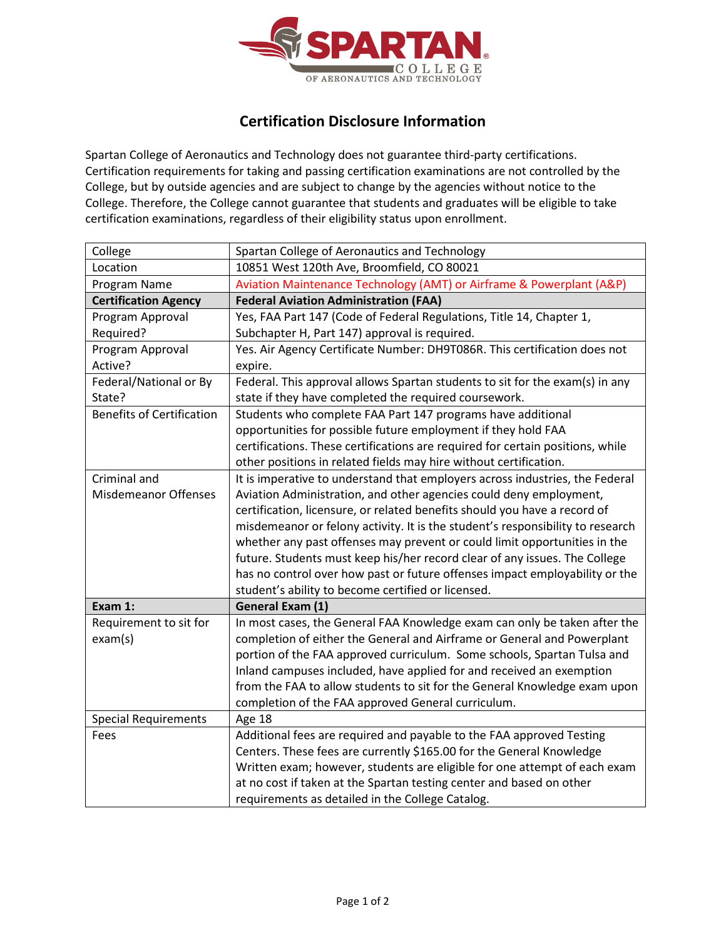

## **Certification Disclosure Information**

Spartan College of Aeronautics and Technology does not guarantee third-party certifications. Certification requirements for taking and passing certification examinations are not controlled by the College, but by outside agencies and are subject to change by the agencies without notice to the College. Therefore, the College cannot guarantee that students and graduates will be eligible to take certification examinations, regardless of their eligibility status upon enrollment.

| College                          | Spartan College of Aeronautics and Technology                                                                                                     |
|----------------------------------|---------------------------------------------------------------------------------------------------------------------------------------------------|
| Location                         | 10851 West 120th Ave, Broomfield, CO 80021                                                                                                        |
| Program Name                     | Aviation Maintenance Technology (AMT) or Airframe & Powerplant (A&P)                                                                              |
| <b>Certification Agency</b>      | <b>Federal Aviation Administration (FAA)</b>                                                                                                      |
| Program Approval                 | Yes, FAA Part 147 (Code of Federal Regulations, Title 14, Chapter 1,                                                                              |
| Required?                        | Subchapter H, Part 147) approval is required.                                                                                                     |
| Program Approval                 | Yes. Air Agency Certificate Number: DH9T086R. This certification does not                                                                         |
| Active?                          | expire.                                                                                                                                           |
| Federal/National or By           | Federal. This approval allows Spartan students to sit for the exam(s) in any                                                                      |
| State?                           | state if they have completed the required coursework.                                                                                             |
| <b>Benefits of Certification</b> | Students who complete FAA Part 147 programs have additional                                                                                       |
|                                  | opportunities for possible future employment if they hold FAA                                                                                     |
|                                  | certifications. These certifications are required for certain positions, while                                                                    |
|                                  | other positions in related fields may hire without certification.                                                                                 |
| Criminal and                     | It is imperative to understand that employers across industries, the Federal                                                                      |
| <b>Misdemeanor Offenses</b>      | Aviation Administration, and other agencies could deny employment,                                                                                |
|                                  | certification, licensure, or related benefits should you have a record of                                                                         |
|                                  | misdemeanor or felony activity. It is the student's responsibility to research                                                                    |
|                                  | whether any past offenses may prevent or could limit opportunities in the                                                                         |
|                                  | future. Students must keep his/her record clear of any issues. The College                                                                        |
|                                  | has no control over how past or future offenses impact employability or the                                                                       |
|                                  | student's ability to become certified or licensed.                                                                                                |
| Exam 1:                          | General Exam (1)                                                                                                                                  |
| Requirement to sit for           | In most cases, the General FAA Knowledge exam can only be taken after the                                                                         |
| exam(s)                          | completion of either the General and Airframe or General and Powerplant                                                                           |
|                                  | portion of the FAA approved curriculum. Some schools, Spartan Tulsa and                                                                           |
|                                  | Inland campuses included, have applied for and received an exemption                                                                              |
|                                  | from the FAA to allow students to sit for the General Knowledge exam upon                                                                         |
|                                  | completion of the FAA approved General curriculum.                                                                                                |
| <b>Special Requirements</b>      | Age 18                                                                                                                                            |
| Fees                             | Additional fees are required and payable to the FAA approved Testing                                                                              |
|                                  | Centers. These fees are currently \$165.00 for the General Knowledge                                                                              |
|                                  | Written exam; however, students are eligible for one attempt of each exam<br>at no cost if taken at the Spartan testing center and based on other |
|                                  |                                                                                                                                                   |
|                                  | requirements as detailed in the College Catalog.                                                                                                  |